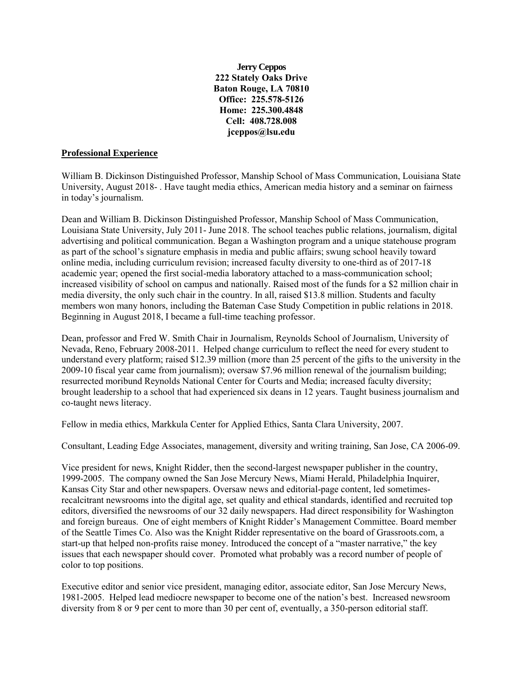**Jerry Ceppos 222 Stately Oaks Drive Baton Rouge, LA 70810 Office: 225.578-5126 Home: 225.300.4848 Cell: 408.728.008 jceppos@lsu.edu**

### **Professional Experience**

William B. Dickinson Distinguished Professor, Manship School of Mass Communication, Louisiana State University, August 2018- . Have taught media ethics, American media history and a seminar on fairness in today's journalism.

Dean and William B. Dickinson Distinguished Professor, Manship School of Mass Communication, Louisiana State University, July 2011- June 2018. The school teaches public relations, journalism, digital advertising and political communication. Began a Washington program and a unique statehouse program as part of the school's signature emphasis in media and public affairs; swung school heavily toward online media, including curriculum revision; increased faculty diversity to one-third as of 2017-18 academic year; opened the first social-media laboratory attached to a mass-communication school; increased visibility of school on campus and nationally. Raised most of the funds for a \$2 million chair in media diversity, the only such chair in the country. In all, raised \$13.8 million. Students and faculty members won many honors, including the Bateman Case Study Competition in public relations in 2018. Beginning in August 2018, I became a full-time teaching professor.

Dean, professor and Fred W. Smith Chair in Journalism, Reynolds School of Journalism, University of Nevada, Reno, February 2008-2011. Helped change curriculum to reflect the need for every student to understand every platform; raised \$12.39 million (more than 25 percent of the gifts to the university in the 2009-10 fiscal year came from journalism); oversaw \$7.96 million renewal of the journalism building; resurrected moribund Reynolds National Center for Courts and Media; increased faculty diversity; brought leadership to a school that had experienced six deans in 12 years. Taught business journalism and co-taught news literacy.

Fellow in media ethics, Markkula Center for Applied Ethics, Santa Clara University, 2007.

Consultant, Leading Edge Associates, management, diversity and writing training, San Jose, CA 2006-09.

Vice president for news, Knight Ridder, then the second-largest newspaper publisher in the country, 1999-2005. The company owned the San Jose Mercury News, Miami Herald, Philadelphia Inquirer, Kansas City Star and other newspapers. Oversaw news and editorial-page content, led sometimesrecalcitrant newsrooms into the digital age, set quality and ethical standards, identified and recruited top editors, diversified the newsrooms of our 32 daily newspapers. Had direct responsibility for Washington and foreign bureaus. One of eight members of Knight Ridder's Management Committee. Board member of the Seattle Times Co. Also was the Knight Ridder representative on the board of Grassroots.com, a start-up that helped non-profits raise money. Introduced the concept of a "master narrative," the key issues that each newspaper should cover. Promoted what probably was a record number of people of color to top positions.

Executive editor and senior vice president, managing editor, associate editor, San Jose Mercury News, 1981-2005. Helped lead mediocre newspaper to become one of the nation's best. Increased newsroom diversity from 8 or 9 per cent to more than 30 per cent of, eventually, a 350-person editorial staff.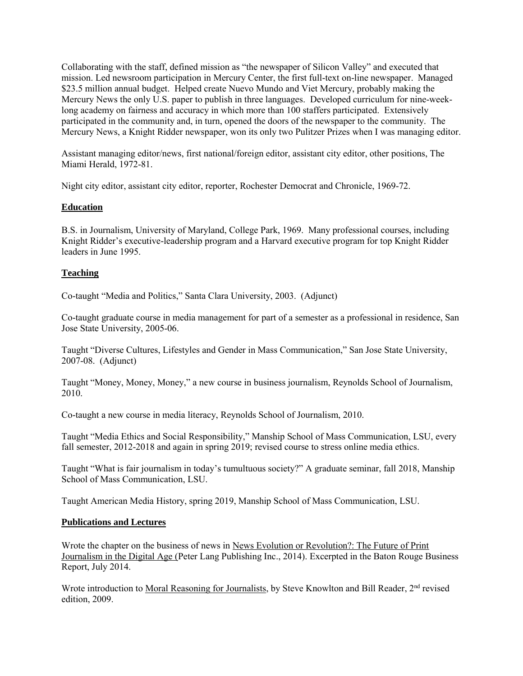Collaborating with the staff, defined mission as "the newspaper of Silicon Valley" and executed that mission. Led newsroom participation in Mercury Center, the first full-text on-line newspaper. Managed \$23.5 million annual budget. Helped create Nuevo Mundo and Viet Mercury, probably making the Mercury News the only U.S. paper to publish in three languages. Developed curriculum for nine-weeklong academy on fairness and accuracy in which more than 100 staffers participated. Extensively participated in the community and, in turn, opened the doors of the newspaper to the community. The Mercury News, a Knight Ridder newspaper, won its only two Pulitzer Prizes when I was managing editor.

Assistant managing editor/news, first national/foreign editor, assistant city editor, other positions, The Miami Herald, 1972-81.

Night city editor, assistant city editor, reporter, Rochester Democrat and Chronicle, 1969-72.

# **Education**

B.S. in Journalism, University of Maryland, College Park, 1969. Many professional courses, including Knight Ridder's executive-leadership program and a Harvard executive program for top Knight Ridder leaders in June 1995.

### **Teaching**

Co-taught "Media and Politics," Santa Clara University, 2003. (Adjunct)

Co-taught graduate course in media management for part of a semester as a professional in residence, San Jose State University, 2005-06.

Taught "Diverse Cultures, Lifestyles and Gender in Mass Communication," San Jose State University, 2007-08. (Adjunct)

Taught "Money, Money, Money," a new course in business journalism, Reynolds School of Journalism, 2010.

Co-taught a new course in media literacy, Reynolds School of Journalism, 2010.

Taught "Media Ethics and Social Responsibility," Manship School of Mass Communication, LSU, every fall semester, 2012-2018 and again in spring 2019; revised course to stress online media ethics.

Taught "What is fair journalism in today's tumultuous society?" A graduate seminar, fall 2018, Manship School of Mass Communication, LSU.

Taught American Media History, spring 2019, Manship School of Mass Communication, LSU.

#### **Publications and Lectures**

Wrote the chapter on the business of news in News Evolution or Revolution?: The Future of Print Journalism in the Digital Age (Peter Lang Publishing Inc., 2014). Excerpted in the Baton Rouge Business Report, July 2014.

Wrote introduction to Moral Reasoning for Journalists, by Steve Knowlton and Bill Reader, 2<sup>nd</sup> revised edition, 2009.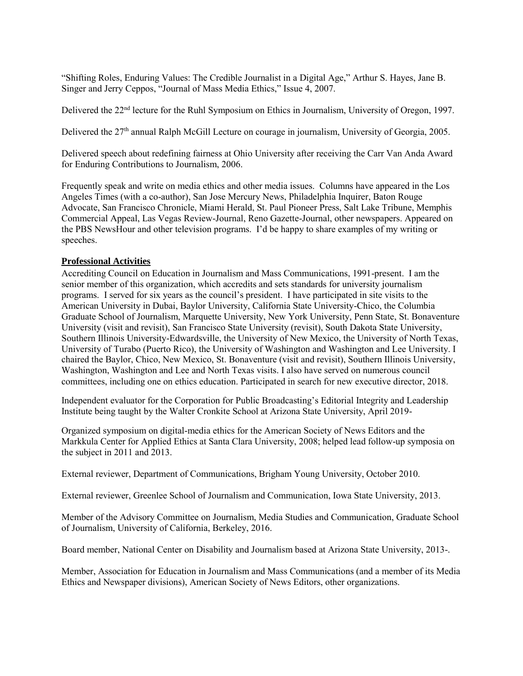"Shifting Roles, Enduring Values: The Credible Journalist in a Digital Age," Arthur S. Hayes, Jane B. Singer and Jerry Ceppos, "Journal of Mass Media Ethics," Issue 4, 2007.

Delivered the 22<sup>nd</sup> lecture for the Ruhl Symposium on Ethics in Journalism, University of Oregon, 1997.

Delivered the 27<sup>th</sup> annual Ralph McGill Lecture on courage in journalism, University of Georgia, 2005.

Delivered speech about redefining fairness at Ohio University after receiving the Carr Van Anda Award for Enduring Contributions to Journalism, 2006.

Frequently speak and write on media ethics and other media issues. Columns have appeared in the Los Angeles Times (with a co-author), San Jose Mercury News, Philadelphia Inquirer, Baton Rouge Advocate, San Francisco Chronicle, Miami Herald, St. Paul Pioneer Press, Salt Lake Tribune, Memphis Commercial Appeal, Las Vegas Review-Journal, Reno Gazette-Journal, other newspapers. Appeared on the PBS NewsHour and other television programs. I'd be happy to share examples of my writing or speeches.

#### **Professional Activities**

Accrediting Council on Education in Journalism and Mass Communications, 1991-present. I am the senior member of this organization, which accredits and sets standards for university journalism programs. I served for six years as the council's president. I have participated in site visits to the American University in Dubai, Baylor University, California State University-Chico, the Columbia Graduate School of Journalism, Marquette University, New York University, Penn State, St. Bonaventure University (visit and revisit), San Francisco State University (revisit), South Dakota State University, Southern Illinois University-Edwardsville, the University of New Mexico, the University of North Texas, University of Turabo (Puerto Rico), the University of Washington and Washington and Lee University. I chaired the Baylor, Chico, New Mexico, St. Bonaventure (visit and revisit), Southern Illinois University, Washington, Washington and Lee and North Texas visits. I also have served on numerous council committees, including one on ethics education. Participated in search for new executive director, 2018.

Independent evaluator for the Corporation for Public Broadcasting's Editorial Integrity and Leadership Institute being taught by the Walter Cronkite School at Arizona State University, April 2019-

Organized symposium on digital-media ethics for the American Society of News Editors and the Markkula Center for Applied Ethics at Santa Clara University, 2008; helped lead follow-up symposia on the subject in 2011 and 2013.

External reviewer, Department of Communications, Brigham Young University, October 2010.

External reviewer, Greenlee School of Journalism and Communication, Iowa State University, 2013.

Member of the Advisory Committee on Journalism, Media Studies and Communication, Graduate School of Journalism, University of California, Berkeley, 2016.

Board member, National Center on Disability and Journalism based at Arizona State University, 2013-.

Member, Association for Education in Journalism and Mass Communications (and a member of its Media Ethics and Newspaper divisions), American Society of News Editors, other organizations.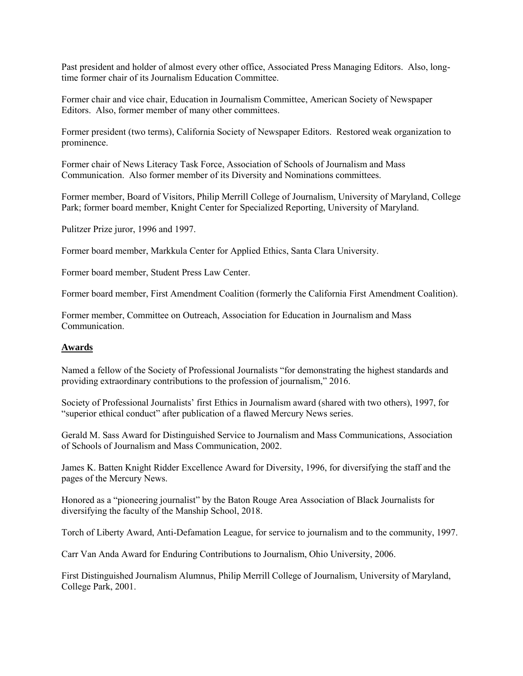Past president and holder of almost every other office, Associated Press Managing Editors. Also, longtime former chair of its Journalism Education Committee.

Former chair and vice chair, Education in Journalism Committee, American Society of Newspaper Editors. Also, former member of many other committees.

Former president (two terms), California Society of Newspaper Editors. Restored weak organization to prominence.

Former chair of News Literacy Task Force, Association of Schools of Journalism and Mass Communication. Also former member of its Diversity and Nominations committees.

Former member, Board of Visitors, Philip Merrill College of Journalism, University of Maryland, College Park; former board member, Knight Center for Specialized Reporting, University of Maryland.

Pulitzer Prize juror, 1996 and 1997.

Former board member, Markkula Center for Applied Ethics, Santa Clara University.

Former board member, Student Press Law Center.

Former board member, First Amendment Coalition (formerly the California First Amendment Coalition).

Former member, Committee on Outreach, Association for Education in Journalism and Mass Communication.

## **Awards**

Named a fellow of the Society of Professional Journalists "for demonstrating the highest standards and providing extraordinary contributions to the profession of journalism," 2016.

Society of Professional Journalists' first Ethics in Journalism award (shared with two others), 1997, for "superior ethical conduct" after publication of a flawed Mercury News series.

Gerald M. Sass Award for Distinguished Service to Journalism and Mass Communications, Association of Schools of Journalism and Mass Communication, 2002.

James K. Batten Knight Ridder Excellence Award for Diversity, 1996, for diversifying the staff and the pages of the Mercury News.

Honored as a "pioneering journalist" by the Baton Rouge Area Association of Black Journalists for diversifying the faculty of the Manship School, 2018.

Torch of Liberty Award, Anti-Defamation League, for service to journalism and to the community, 1997.

Carr Van Anda Award for Enduring Contributions to Journalism, Ohio University, 2006.

First Distinguished Journalism Alumnus, Philip Merrill College of Journalism, University of Maryland, College Park, 2001.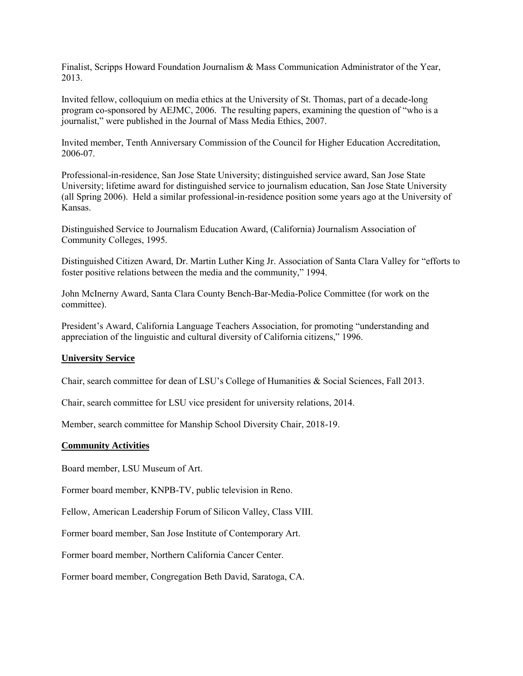Finalist, Scripps Howard Foundation Journalism & Mass Communication Administrator of the Year, 2013.

Invited fellow, colloquium on media ethics at the University of St. Thomas, part of a decade-long program co-sponsored by AEJMC, 2006. The resulting papers, examining the question of "who is a journalist," were published in the Journal of Mass Media Ethics, 2007.

Invited member, Tenth Anniversary Commission of the Council for Higher Education Accreditation, 2006-07.

Professional-in-residence, San Jose State University; distinguished service award, San Jose State University; lifetime award for distinguished service to journalism education, San Jose State University (all Spring 2006). Held a similar professional-in-residence position some years ago at the University of Kansas.

Distinguished Service to Journalism Education Award, (California) Journalism Association of Community Colleges, 1995.

Distinguished Citizen Award, Dr. Martin Luther King Jr. Association of Santa Clara Valley for "efforts to foster positive relations between the media and the community," 1994.

John McInerny Award, Santa Clara County Bench-Bar-Media-Police Committee (for work on the committee).

President's Award, California Language Teachers Association, for promoting "understanding and appreciation of the linguistic and cultural diversity of California citizens," 1996.

#### **University Service**

Chair, search committee for dean of LSU's College of Humanities & Social Sciences, Fall 2013.

Chair, search committee for LSU vice president for university relations, 2014.

Member, search committee for Manship School Diversity Chair, 2018-19.

#### **Community Activities**

Board member, LSU Museum of Art.

Former board member, KNPB-TV, public television in Reno.

Fellow, American Leadership Forum of Silicon Valley, Class VIII.

Former board member, San Jose Institute of Contemporary Art.

Former board member, Northern California Cancer Center.

Former board member, Congregation Beth David, Saratoga, CA.